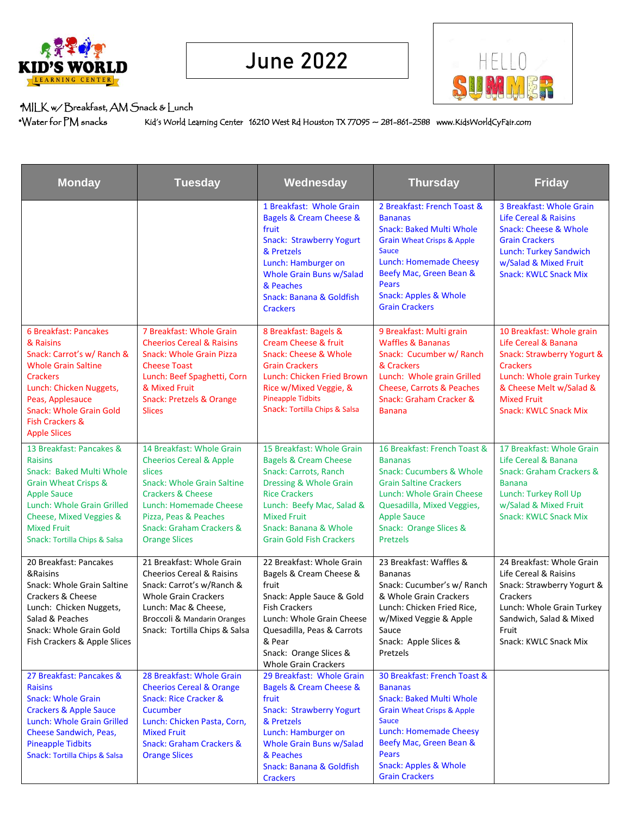



## \*MILK w/ Breakfast, AM Snack & Lunch

\*Water for PM snacksKid's World Learning Center 16210 West Rd Houston TX 77095 ~ 281-861-2588 www.KidsWorldCyFair.com **774ber 2020 Bistro** 

| <b>Monday</b>                                                                                                                                                                                                                                           | <b>Tuesday</b>                                                                                                                                                                                                                                                   | Wednesday                                                                                                                                                                                                                                               | <b>Thursday</b>                                                                                                                                                                                                                                                              | <b>Friday</b>                                                                                                                                                                                                    |
|---------------------------------------------------------------------------------------------------------------------------------------------------------------------------------------------------------------------------------------------------------|------------------------------------------------------------------------------------------------------------------------------------------------------------------------------------------------------------------------------------------------------------------|---------------------------------------------------------------------------------------------------------------------------------------------------------------------------------------------------------------------------------------------------------|------------------------------------------------------------------------------------------------------------------------------------------------------------------------------------------------------------------------------------------------------------------------------|------------------------------------------------------------------------------------------------------------------------------------------------------------------------------------------------------------------|
|                                                                                                                                                                                                                                                         |                                                                                                                                                                                                                                                                  | 1 Breakfast: Whole Grain<br><b>Bagels &amp; Cream Cheese &amp;</b><br>fruit<br><b>Snack: Strawberry Yogurt</b><br>& Pretzels<br>Lunch: Hamburger on<br>Whole Grain Buns w/Salad<br>& Peaches<br><b>Snack: Banana &amp; Goldfish</b><br><b>Crackers</b>  | 2 Breakfast: French Toast &<br><b>Bananas</b><br><b>Snack: Baked Multi Whole</b><br><b>Grain Wheat Crisps &amp; Apple</b><br><b>Sauce</b><br><b>Lunch: Homemade Cheesy</b><br>Beefy Mac, Green Bean &<br>Pears<br><b>Snack: Apples &amp; Whole</b><br><b>Grain Crackers</b>  | 3 Breakfast: Whole Grain<br><b>Life Cereal &amp; Raisins</b><br>Snack: Cheese & Whole<br><b>Grain Crackers</b><br><b>Lunch: Turkey Sandwich</b><br>w/Salad & Mixed Fruit<br><b>Snack: KWLC Snack Mix</b>         |
| 6 Breakfast: Pancakes<br>& Raisins<br>Snack: Carrot's w/ Ranch &<br><b>Whole Grain Saltine</b><br><b>Crackers</b><br>Lunch: Chicken Nuggets,<br>Peas, Applesauce<br><b>Snack: Whole Grain Gold</b><br><b>Fish Crackers &amp;</b><br><b>Apple Slices</b> | 7 Breakfast: Whole Grain<br><b>Cheerios Cereal &amp; Raisins</b><br><b>Snack: Whole Grain Pizza</b><br><b>Cheese Toast</b><br>Lunch: Beef Spaghetti, Corn<br>& Mixed Fruit<br><b>Snack: Pretzels &amp; Orange</b><br><b>Slices</b>                               | 8 Breakfast: Bagels &<br>Cream Cheese & fruit<br><b>Snack: Cheese &amp; Whole</b><br><b>Grain Crackers</b><br>Lunch: Chicken Fried Brown<br>Rice w/Mixed Veggie, &<br><b>Pineapple Tidbits</b><br>Snack: Tortilla Chips & Salsa                         | 9 Breakfast: Multi grain<br><b>Waffles &amp; Bananas</b><br>Snack: Cucumber w/ Ranch<br>& Crackers<br>Lunch: Whole grain Grilled<br><b>Cheese, Carrots &amp; Peaches</b><br>Snack: Graham Cracker &<br><b>Banana</b>                                                         | 10 Breakfast: Whole grain<br>Life Cereal & Banana<br>Snack: Strawberry Yogurt &<br><b>Crackers</b><br>Lunch: Whole grain Turkey<br>& Cheese Melt w/Salad &<br><b>Mixed Fruit</b><br><b>Snack: KWLC Snack Mix</b> |
| 13 Breakfast: Pancakes &<br><b>Raisins</b><br>Snack: Baked Multi Whole<br><b>Grain Wheat Crisps &amp;</b><br><b>Apple Sauce</b><br>Lunch: Whole Grain Grilled<br>Cheese, Mixed Veggies &<br><b>Mixed Fruit</b><br>Snack: Tortilla Chips & Salsa         | 14 Breakfast: Whole Grain<br><b>Cheerios Cereal &amp; Apple</b><br>slices<br><b>Snack: Whole Grain Saltine</b><br><b>Crackers &amp; Cheese</b><br>Lunch: Homemade Cheese<br>Pizza, Peas & Peaches<br><b>Snack: Graham Crackers &amp;</b><br><b>Orange Slices</b> | 15 Breakfast: Whole Grain<br><b>Bagels &amp; Cream Cheese</b><br>Snack: Carrots, Ranch<br>Dressing & Whole Grain<br><b>Rice Crackers</b><br>Lunch: Beefy Mac, Salad &<br><b>Mixed Fruit</b><br>Snack: Banana & Whole<br><b>Grain Gold Fish Crackers</b> | 16 Breakfast: French Toast &<br><b>Bananas</b><br><b>Snack: Cucumbers &amp; Whole</b><br><b>Grain Saltine Crackers</b><br>Lunch: Whole Grain Cheese<br>Quesadilla, Mixed Veggies,<br><b>Apple Sauce</b><br><b>Snack: Orange Slices &amp;</b><br><b>Pretzels</b>              | 17 Breakfast: Whole Grain<br>Life Cereal & Banana<br><b>Snack: Graham Crackers &amp;</b><br><b>Banana</b><br>Lunch: Turkey Roll Up<br>w/Salad & Mixed Fruit<br><b>Snack: KWLC Snack Mix</b>                      |
| 20 Breakfast: Pancakes<br>&Raisins<br>Snack: Whole Grain Saltine<br>Crackers & Cheese<br>Lunch: Chicken Nuggets,<br>Salad & Peaches<br>Snack: Whole Grain Gold<br>Fish Crackers & Apple Slices                                                          | 21 Breakfast: Whole Grain<br><b>Cheerios Cereal &amp; Raisins</b><br>Snack: Carrot's w/Ranch &<br><b>Whole Grain Crackers</b><br>Lunch: Mac & Cheese,<br>Broccoli & Mandarin Oranges<br>Snack: Tortilla Chips & Salsa                                            | 22 Breakfast: Whole Grain<br>Bagels & Cream Cheese &<br>fruit<br>Snack: Apple Sauce & Gold<br><b>Fish Crackers</b><br>Lunch: Whole Grain Cheese<br>Quesadilla, Peas & Carrots<br>& Pear<br>Snack: Orange Slices &<br><b>Whole Grain Crackers</b>        | 23 Breakfast: Waffles &<br><b>Bananas</b><br>Snack: Cucumber's w/ Ranch<br>& Whole Grain Crackers<br>Lunch: Chicken Fried Rice,<br>w/Mixed Veggie & Apple<br>Sauce<br>Snack: Apple Slices &<br>Pretzels                                                                      | 24 Breakfast: Whole Grain<br>Life Cereal & Raisins<br>Snack: Strawberry Yogurt &<br>Crackers<br>Lunch: Whole Grain Turkey<br>Sandwich, Salad & Mixed<br>Fruit<br>Snack: KWLC Snack Mix                           |
| 27 Breakfast: Pancakes &<br><b>Raisins</b><br><b>Snack: Whole Grain</b><br><b>Crackers &amp; Apple Sauce</b><br>Lunch: Whole Grain Grilled<br>Cheese Sandwich, Peas,<br><b>Pineapple Tidbits</b><br>Snack: Tortilla Chips & Salsa                       | 28 Breakfast: Whole Grain<br><b>Cheerios Cereal &amp; Orange</b><br><b>Snack: Rice Cracker &amp;</b><br>Cucumber<br>Lunch: Chicken Pasta, Corn,<br><b>Mixed Fruit</b><br><b>Snack: Graham Crackers &amp;</b><br><b>Orange Slices</b>                             | 29 Breakfast: Whole Grain<br>Bagels & Cream Cheese &<br>fruit<br><b>Snack: Strawberry Yogurt</b><br>& Pretzels<br>Lunch: Hamburger on<br>Whole Grain Buns w/Salad<br>& Peaches<br><b>Snack: Banana &amp; Goldfish</b><br><b>Crackers</b>                | 30 Breakfast: French Toast &<br><b>Bananas</b><br><b>Snack: Baked Multi Whole</b><br><b>Grain Wheat Crisps &amp; Apple</b><br><b>Sauce</b><br><b>Lunch: Homemade Cheesy</b><br>Beefy Mac, Green Bean &<br>Pears<br><b>Snack: Apples &amp; Whole</b><br><b>Grain Crackers</b> |                                                                                                                                                                                                                  |